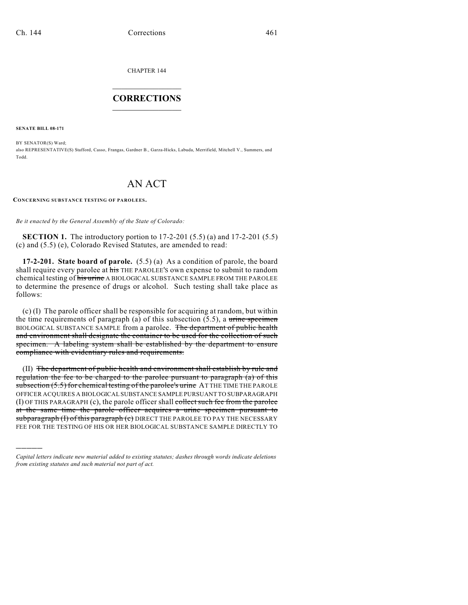CHAPTER 144

## $\overline{\phantom{a}}$  . The set of the set of the set of the set of the set of the set of the set of the set of the set of the set of the set of the set of the set of the set of the set of the set of the set of the set of the set o **CORRECTIONS**  $\frac{1}{2}$  ,  $\frac{1}{2}$  ,  $\frac{1}{2}$  ,  $\frac{1}{2}$  ,  $\frac{1}{2}$  ,  $\frac{1}{2}$

**SENATE BILL 08-171**

)))))

BY SENATOR(S) Ward; also REPRESENTATIVE(S) Stafford, Casso, Frangas, Gardner B., Garza-Hicks, Labuda, Merrifield, Mitchell V., Summers, and Todd.

## AN ACT

**CONCERNING SUBSTANCE TESTING OF PAROLEES.**

*Be it enacted by the General Assembly of the State of Colorado:*

**SECTION 1.** The introductory portion to 17-2-201 (5.5) (a) and 17-2-201 (5.5) (c) and (5.5) (e), Colorado Revised Statutes, are amended to read:

**17-2-201. State board of parole.** (5.5) (a) As a condition of parole, the board shall require every parolee at his THE PAROLEE'S own expense to submit to random chemical testing of his urine A BIOLOGICAL SUBSTANCE SAMPLE FROM THE PAROLEE to determine the presence of drugs or alcohol. Such testing shall take place as follows:

(c) (I) The parole officer shall be responsible for acquiring at random, but within the time requirements of paragraph  $(a)$  of this subsection (5.5), a urine specimen BIOLOGICAL SUBSTANCE SAMPLE from a parolee. The department of public health and environment shall designate the container to be used for the collection of such specimen. A labeling system shall be established by the department to ensure compliance with evidentiary rules and requirements.

(II) The department of public health and environment shall establish by rule and regulation the fee to be charged to the parolee pursuant to paragraph (a) of this subsection (5.5) for chemical testing of the parolee's urine AT THE TIME THE PAROLE OFFICER ACQUIRES A BIOLOGICAL SUBSTANCE SAMPLE PURSUANT TO SUBPARAGRAPH (I) OF THIS PARAGRAPH (c), the parole officer shall collect such fee from the parolee at the same time the parole officer acquires a urine specimen pursuant to subparagraph (I) of this paragraph (c) DIRECT THE PAROLEE TO PAY THE NECESSARY FEE FOR THE TESTING OF HIS OR HER BIOLOGICAL SUBSTANCE SAMPLE DIRECTLY TO

*Capital letters indicate new material added to existing statutes; dashes through words indicate deletions from existing statutes and such material not part of act.*